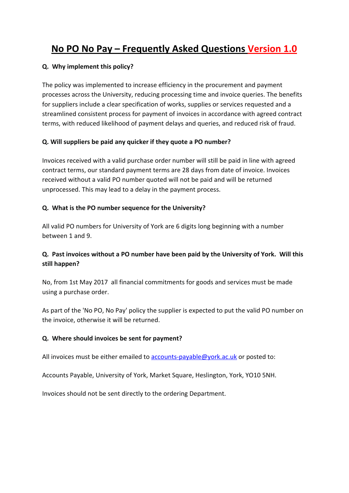# **No PO No Pay – Frequently Asked Questions Version 1.0**

#### **Q. Why implement this policy?**

The policy was implemented to increase efficiency in the procurement and payment processes across the University, reducing processing time and invoice queries. The benefits for suppliers include a clear specification of works, supplies or services requested and a streamlined consistent process for payment of invoices in accordance with agreed contract terms, with reduced likelihood of payment delays and queries, and reduced risk of fraud.

## **Q. Will suppliers be paid any quicker if they quote a PO number?**

Invoices received with a valid purchase order number will still be paid in line with agreed contract terms, our standard payment terms are 28 days from date of invoice. Invoices received without a valid PO number quoted will not be paid and will be returned unprocessed. This may lead to a delay in the payment process.

## **Q. What is the PO number sequence for the University?**

All valid PO numbers for University of York are 6 digits long beginning with a number between 1 and 9.

# **Q. Past invoices without a PO number have been paid by the University of York. Will this still happen?**

No, from 1st May 2017 all financial commitments for goods and services must be made using a purchase order.

As part of the 'No PO, No Pay' policy the supplier is expected to put the valid PO number on the invoice, otherwise it will be returned.

#### **Q. Where should invoices be sent for payment?**

All invoices must be either emailed to  $\frac{1}{2}$  [accounts-payable@york.ac.uk](mailto:accounts-payable@york.ac.uk) or posted to:

Accounts Payable, University of York, Market Square, Heslington, York, YO10 5NH.

Invoices should not be sent directly to the ordering Department.